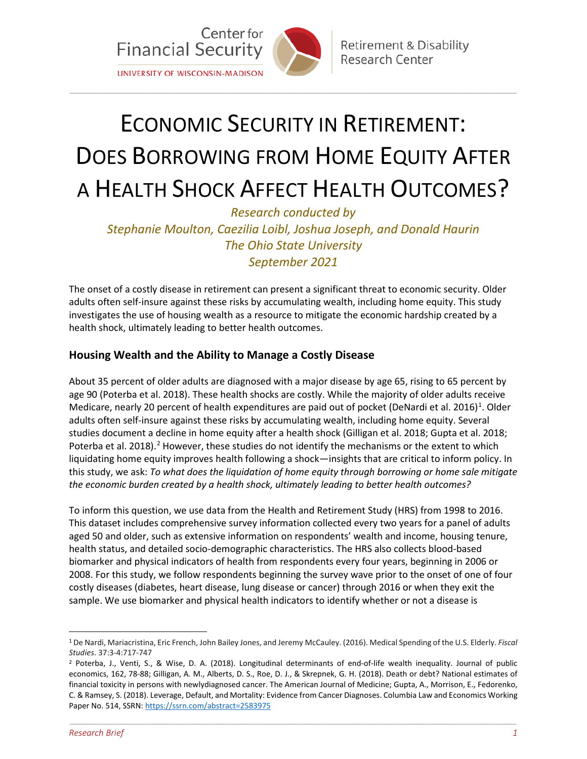

# ECONOMIC SECURITY IN RETIREMENT: DOES BORROWING FROM HOME EQUITY AFTER A HEALTH SHOCK AFFECT HEALTH OUTCOMES?

\_\_\_\_\_\_\_\_\_\_\_\_\_\_\_\_\_\_\_\_\_\_\_\_\_\_\_\_\_\_\_\_\_\_\_\_\_\_\_\_\_\_\_\_\_\_\_\_\_\_\_\_\_\_\_\_\_\_\_\_\_\_\_\_\_\_\_\_\_\_\_\_\_\_\_\_\_\_\_\_\_\_\_\_\_\_\_\_\_\_\_\_\_\_\_\_\_\_\_\_\_\_\_\_\_\_\_\_\_\_\_\_\_\_\_\_\_

*Research conducted by Stephanie Moulton, Caezilia Loibl, Joshua Joseph, and Donald Haurin The Ohio State University September 2021*

The onset of a costly disease in retirement can present a significant threat to economic security. Older adults often self-insure against these risks by accumulating wealth, including home equity. This study investigates the use of housing wealth as a resource to mitigate the economic hardship created by a health shock, ultimately leading to better health outcomes.

## **Housing Wealth and the Ability to Manage a Costly Disease**

About 35 percent of older adults are diagnosed with a major disease by age 65, rising to 65 percent by age 90 (Poterba et al. 2018). These health shocks are costly. While the majority of older adults receive Medicare, nearly 20 percent of health expenditures are paid out of pocket (DeNardi et al. 20[1](#page-0-0)6)<sup>1</sup>. Older adults often self-insure against these risks by accumulating wealth, including home equity. Several studies document a decline in home equity after a health shock (Gilligan et al. 2018; Gupta et al. 2018; Poterba et al. [2](#page-0-1)018).<sup>2</sup> However, these studies do not identify the mechanisms or the extent to which liquidating home equity improves health following a shock—insights that are critical to inform policy. In this study, we ask: *To what does the liquidation of home equity through borrowing or home sale mitigate the economic burden created by a health shock, ultimately leading to better health outcomes?*

To inform this question, we use data from the Health and Retirement Study (HRS) from 1998 to 2016. This dataset includes comprehensive survey information collected every two years for a panel of adults aged 50 and older, such as extensive information on respondents' wealth and income, housing tenure, health status, and detailed socio-demographic characteristics. The HRS also collects blood-based biomarker and physical indicators of health from respondents every four years, beginning in 2006 or 2008. For this study, we follow respondents beginning the survey wave prior to the onset of one of four costly diseases (diabetes, heart disease, lung disease or cancer) through 2016 or when they exit the sample. We use biomarker and physical health indicators to identify whether or not a disease is

\_\_\_\_\_\_\_\_\_\_\_\_\_\_\_\_\_\_\_\_\_\_\_\_\_\_\_\_\_\_\_\_\_\_\_\_\_\_\_\_\_\_\_\_\_\_\_\_\_\_\_\_\_\_\_\_\_\_\_\_\_\_\_\_\_\_\_\_\_\_\_\_\_\_\_\_\_\_\_\_\_\_\_\_\_\_\_\_\_\_\_\_\_\_\_\_\_\_\_\_\_\_\_\_\_\_\_\_\_\_\_\_\_\_\_\_\_

<span id="page-0-0"></span> <sup>1</sup> De Nardi, Mariacristina, Eric French, John Bailey Jones, and Jeremy McCauley. (2016). Medical Spending of the U.S. Elderly. *Fiscal Studies*. 37:3-4:717-747

<span id="page-0-1"></span><sup>2</sup> Poterba, J., Venti, S., & Wise, D. A. (2018). Longitudinal determinants of end-of-life wealth inequality. Journal of public economics, 162, 78-88; Gilligan, A. M., Alberts, D. S., Roe, D. J., & Skrepnek, G. H. (2018). Death or debt? National estimates of financial toxicity in persons with newlydiagnosed cancer. The American Journal of Medicine; Gupta, A., Morrison, E., Fedorenko, C. & Ramsey, S. (2018). Leverage, Default, and Mortality: Evidence from Cancer Diagnoses. Columbia Law and Economics Working Paper No. 514, SSRN[: https://ssrn.com/abstract=2583975](https://ssrn.com/abstract=2583975)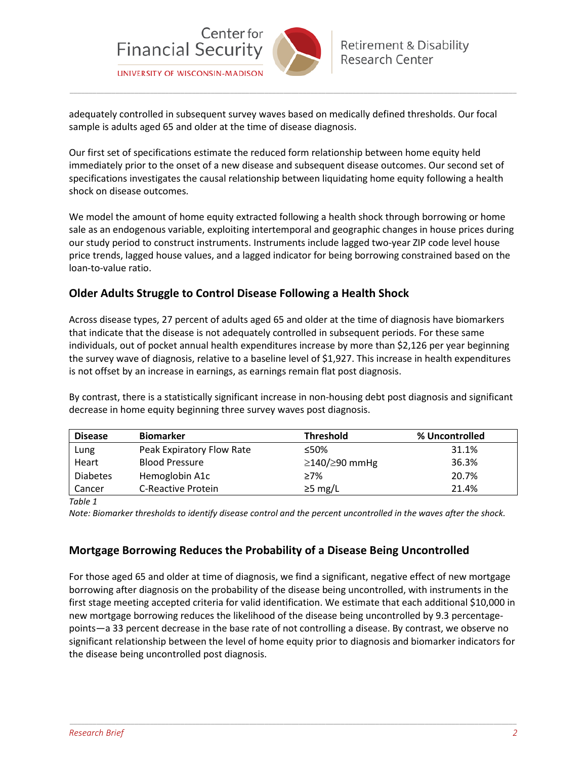

adequately controlled in subsequent survey waves based on medically defined thresholds. Our focal sample is adults aged 65 and older at the time of disease diagnosis.

\_\_\_\_\_\_\_\_\_\_\_\_\_\_\_\_\_\_\_\_\_\_\_\_\_\_\_\_\_\_\_\_\_\_\_\_\_\_\_\_\_\_\_\_\_\_\_\_\_\_\_\_\_\_\_\_\_\_\_\_\_\_\_\_\_\_\_\_\_\_\_\_\_\_\_\_\_\_\_\_\_\_\_\_\_\_\_\_\_\_\_\_\_\_\_\_\_\_\_\_\_\_\_\_\_\_\_\_\_\_\_\_\_\_\_\_\_

Our first set of specifications estimate the reduced form relationship between home equity held immediately prior to the onset of a new disease and subsequent disease outcomes. Our second set of specifications investigates the causal relationship between liquidating home equity following a health shock on disease outcomes.

We model the amount of home equity extracted following a health shock through borrowing or home sale as an endogenous variable, exploiting intertemporal and geographic changes in house prices during our study period to construct instruments. Instruments include lagged two-year ZIP code level house price trends, lagged house values, and a lagged indicator for being borrowing constrained based on the loan-to-value ratio.

### **Older Adults Struggle to Control Disease Following a Health Shock**

Across disease types, 27 percent of adults aged 65 and older at the time of diagnosis have biomarkers that indicate that the disease is not adequately controlled in subsequent periods. For these same individuals, out of pocket annual health expenditures increase by more than \$2,126 per year beginning the survey wave of diagnosis, relative to a baseline level of \$1,927. This increase in health expenditures is not offset by an increase in earnings, as earnings remain flat post diagnosis.

By contrast, there is a statistically significant increase in non-housing debt post diagnosis and significant decrease in home equity beginning three survey waves post diagnosis.

| <b>Disease</b>  | <b>Biomarker</b>          | <b>Threshold</b>           | % Uncontrolled |
|-----------------|---------------------------|----------------------------|----------------|
| Lung            | Peak Expiratory Flow Rate | ≤50%                       | 31.1%          |
| Heart           | <b>Blood Pressure</b>     | $\geq$ 140/ $\geq$ 90 mmHg | 36.3%          |
| <b>Diabetes</b> | Hemoglobin A1c            | ≥7%                        | 20.7%          |
| Cancer          | C-Reactive Protein        | $\geq$ 5 mg/L              | 21.4%          |

*Table 1*

*Note: Biomarker thresholds to identify disease control and the percent uncontrolled in the waves after the shock.*

### **Mortgage Borrowing Reduces the Probability of a Disease Being Uncontrolled**

For those aged 65 and older at time of diagnosis, we find a significant, negative effect of new mortgage borrowing after diagnosis on the probability of the disease being uncontrolled, with instruments in the first stage meeting accepted criteria for valid identification. We estimate that each additional \$10,000 in new mortgage borrowing reduces the likelihood of the disease being uncontrolled by 9.3 percentagepoints—a 33 percent decrease in the base rate of not controlling a disease. By contrast, we observe no significant relationship between the level of home equity prior to diagnosis and biomarker indicators for the disease being uncontrolled post diagnosis.

\_\_\_\_\_\_\_\_\_\_\_\_\_\_\_\_\_\_\_\_\_\_\_\_\_\_\_\_\_\_\_\_\_\_\_\_\_\_\_\_\_\_\_\_\_\_\_\_\_\_\_\_\_\_\_\_\_\_\_\_\_\_\_\_\_\_\_\_\_\_\_\_\_\_\_\_\_\_\_\_\_\_\_\_\_\_\_\_\_\_\_\_\_\_\_\_\_\_\_\_\_\_\_\_\_\_\_\_\_\_\_\_\_\_\_\_\_